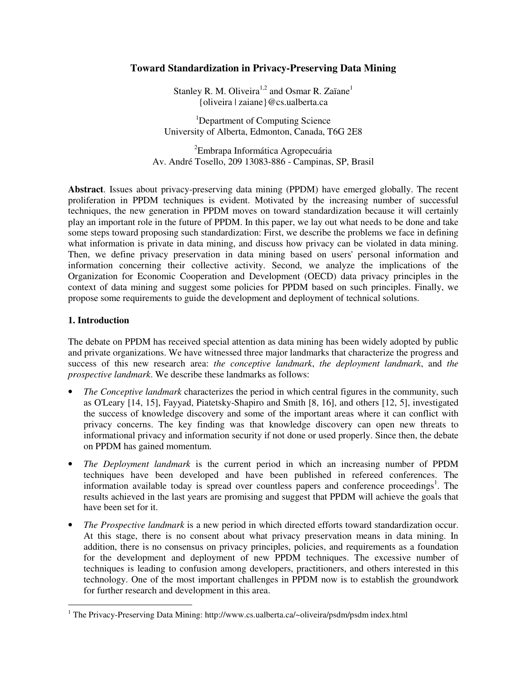# **Toward Standardization in Privacy-Preserving Data Mining**

Stanley R. M. Oliveira<sup>1,2</sup> and Osmar R. Zaïane<sup>1</sup> {oliveira | zaiane}@cs.ualberta.ca

<sup>1</sup>Department of Computing Science University of Alberta, Edmonton, Canada, T6G 2E8

<sup>2</sup>Embrapa Informática Agropecuária Av. André Tosello, 209 13083-886 - Campinas, SP, Brasil

**Abstract**. Issues about privacy-preserving data mining (PPDM) have emerged globally. The recent proliferation in PPDM techniques is evident. Motivated by the increasing number of successful techniques, the new generation in PPDM moves on toward standardization because it will certainly play an important role in the future of PPDM. In this paper, we lay out what needs to be done and take some steps toward proposing such standardization: First, we describe the problems we face in defining what information is private in data mining, and discuss how privacy can be violated in data mining. Then, we define privacy preservation in data mining based on users' personal information and information concerning their collective activity. Second, we analyze the implications of the Organization for Economic Cooperation and Development (OECD) data privacy principles in the context of data mining and suggest some policies for PPDM based on such principles. Finally, we propose some requirements to guide the development and deployment of technical solutions.

### **1. Introduction**

The debate on PPDM has received special attention as data mining has been widely adopted by public and private organizations. We have witnessed three major landmarks that characterize the progress and success of this new research area: *the conceptive landmark*, *the deployment landmark*, and *the prospective landmark*. We describe these landmarks as follows:

- *The Conceptive landmark* characterizes the period in which central figures in the community, such as O'Leary [14, 15], Fayyad, Piatetsky-Shapiro and Smith [8, 16], and others [12, 5], investigated the success of knowledge discovery and some of the important areas where it can conflict with privacy concerns. The key finding was that knowledge discovery can open new threats to informational privacy and information security if not done or used properly. Since then, the debate on PPDM has gained momentum.
- *The Deployment landmark* is the current period in which an increasing number of PPDM techniques have been developed and have been published in refereed conferences. The information available today is spread over countless papers and conference proceedings<sup>1</sup>. The results achieved in the last years are promising and suggest that PPDM will achieve the goals that have been set for it.
- *The Prospective landmark* is a new period in which directed efforts toward standardization occur. At this stage, there is no consent about what privacy preservation means in data mining. In addition, there is no consensus on privacy principles, policies, and requirements as a foundation for the development and deployment of new PPDM techniques. The excessive number of techniques is leading to confusion among developers, practitioners, and others interested in this technology. One of the most important challenges in PPDM now is to establish the groundwork for further research and development in this area.

<sup>&</sup>lt;sup>1</sup> The Privacy-Preserving Data Mining: http://www.cs.ualberta.ca/~oliveira/psdm/psdm index.html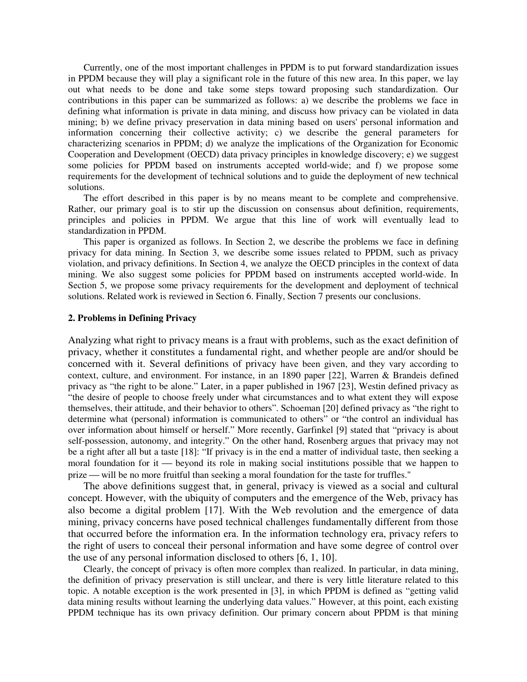Currently, one of the most important challenges in PPDM is to put forward standardization issues in PPDM because they will play a significant role in the future of this new area. In this paper, we lay out what needs to be done and take some steps toward proposing such standardization. Our contributions in this paper can be summarized as follows: a) we describe the problems we face in defining what information is private in data mining, and discuss how privacy can be violated in data mining; b) we define privacy preservation in data mining based on users' personal information and information concerning their collective activity; c) we describe the general parameters for characterizing scenarios in PPDM; d) we analyze the implications of the Organization for Economic Cooperation and Development (OECD) data privacy principles in knowledge discovery; e) we suggest some policies for PPDM based on instruments accepted world-wide; and f) we propose some requirements for the development of technical solutions and to guide the deployment of new technical solutions.

The effort described in this paper is by no means meant to be complete and comprehensive. Rather, our primary goal is to stir up the discussion on consensus about definition, requirements, principles and policies in PPDM. We argue that this line of work will eventually lead to standardization in PPDM.

This paper is organized as follows. In Section 2, we describe the problems we face in defining privacy for data mining. In Section 3, we describe some issues related to PPDM, such as privacy violation, and privacy definitions. In Section 4, we analyze the OECD principles in the context of data mining. We also suggest some policies for PPDM based on instruments accepted world-wide. In Section 5, we propose some privacy requirements for the development and deployment of technical solutions. Related work is reviewed in Section 6. Finally, Section 7 presents our conclusions.

#### **2. Problems in Defining Privacy**

Analyzing what right to privacy means is a fraut with problems, such as the exact definition of privacy, whether it constitutes a fundamental right, and whether people are and/or should be concerned with it. Several definitions of privacy have been given, and they vary according to context, culture, and environment. For instance, in an 1890 paper [22], Warren & Brandeis defined privacy as "the right to be alone." Later, in a paper published in 1967 [23], Westin defined privacy as "the desire of people to choose freely under what circumstances and to what extent they will expose themselves, their attitude, and their behavior to others". Schoeman [20] defined privacy as "the right to determine what (personal) information is communicated to others" or "the control an individual has over information about himself or herself." More recently, Garfinkel [9] stated that "privacy is about self-possession, autonomy, and integrity." On the other hand, Rosenberg argues that privacy may not be a right after all but a taste [18]: "If privacy is in the end a matter of individual taste, then seeking a moral foundation for it — beyond its role in making social institutions possible that we happen to prize will be no more fruitful than seeking a moral foundation for the taste for truffles."

The above definitions suggest that, in general, privacy is viewed as a social and cultural concept. However, with the ubiquity of computers and the emergence of the Web, privacy has also become a digital problem [17]. With the Web revolution and the emergence of data mining, privacy concerns have posed technical challenges fundamentally different from those that occurred before the information era. In the information technology era, privacy refers to the right of users to conceal their personal information and have some degree of control over the use of any personal information disclosed to others [6, 1, 10].

Clearly, the concept of privacy is often more complex than realized. In particular, in data mining, the definition of privacy preservation is still unclear, and there is very little literature related to this topic. A notable exception is the work presented in [3], in which PPDM is defined as "getting valid data mining results without learning the underlying data values." However, at this point, each existing PPDM technique has its own privacy definition. Our primary concern about PPDM is that mining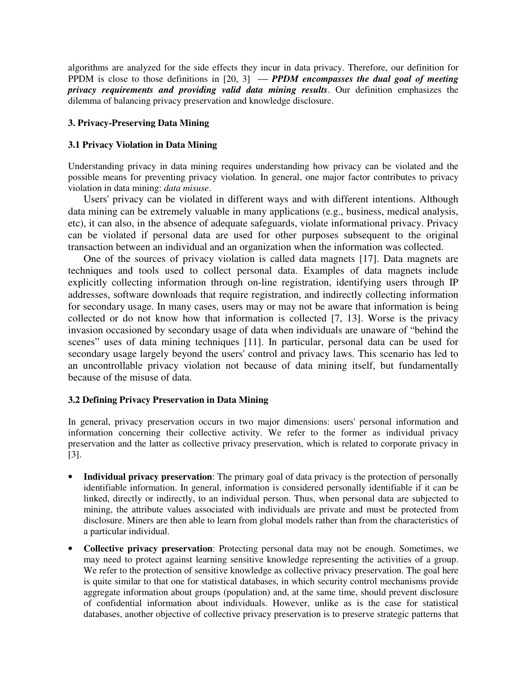algorithms are analyzed for the side effects they incur in data privacy. Therefore, our definition for PPDM is close to those definitions in [20, 3] *PPDM encompasses the dual goal of meeting privacy requirements and providing valid data mining results*. Our definition emphasizes the dilemma of balancing privacy preservation and knowledge disclosure.

# **3. Privacy-Preserving Data Mining**

# **3.1 Privacy Violation in Data Mining**

Understanding privacy in data mining requires understanding how privacy can be violated and the possible means for preventing privacy violation. In general, one major factor contributes to privacy violation in data mining: *data misuse*.

Users' privacy can be violated in different ways and with different intentions. Although data mining can be extremely valuable in many applications (e.g., business, medical analysis, etc), it can also, in the absence of adequate safeguards, violate informational privacy. Privacy can be violated if personal data are used for other purposes subsequent to the original transaction between an individual and an organization when the information was collected.

One of the sources of privacy violation is called data magnets [17]. Data magnets are techniques and tools used to collect personal data. Examples of data magnets include explicitly collecting information through on-line registration, identifying users through IP addresses, software downloads that require registration, and indirectly collecting information for secondary usage. In many cases, users may or may not be aware that information is being collected or do not know how that information is collected [7, 13]. Worse is the privacy invasion occasioned by secondary usage of data when individuals are unaware of "behind the scenes" uses of data mining techniques [11]. In particular, personal data can be used for secondary usage largely beyond the users' control and privacy laws. This scenario has led to an uncontrollable privacy violation not because of data mining itself, but fundamentally because of the misuse of data.

### **3.2 Defining Privacy Preservation in Data Mining**

In general, privacy preservation occurs in two major dimensions: users' personal information and information concerning their collective activity. We refer to the former as individual privacy preservation and the latter as collective privacy preservation, which is related to corporate privacy in [3].

- **Individual privacy preservation**: The primary goal of data privacy is the protection of personally identifiable information. In general, information is considered personally identifiable if it can be linked, directly or indirectly, to an individual person. Thus, when personal data are subjected to mining, the attribute values associated with individuals are private and must be protected from disclosure. Miners are then able to learn from global models rather than from the characteristics of a particular individual.
- **Collective privacy preservation**: Protecting personal data may not be enough. Sometimes, we may need to protect against learning sensitive knowledge representing the activities of a group. We refer to the protection of sensitive knowledge as collective privacy preservation. The goal here is quite similar to that one for statistical databases, in which security control mechanisms provide aggregate information about groups (population) and, at the same time, should prevent disclosure of confidential information about individuals. However, unlike as is the case for statistical databases, another objective of collective privacy preservation is to preserve strategic patterns that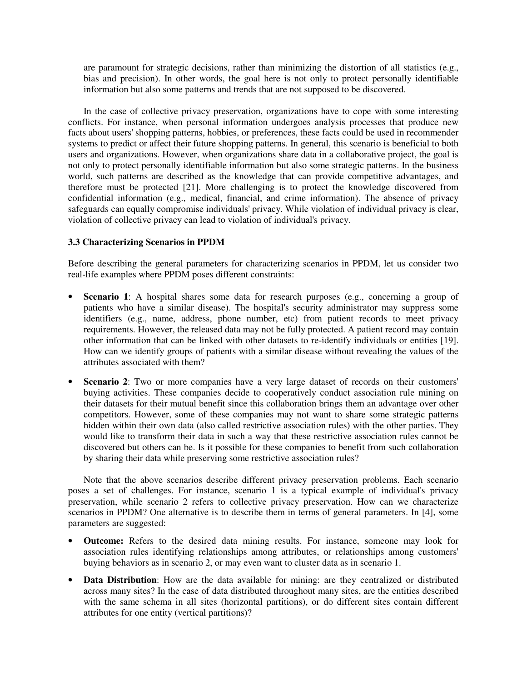are paramount for strategic decisions, rather than minimizing the distortion of all statistics (e.g., bias and precision). In other words, the goal here is not only to protect personally identifiable information but also some patterns and trends that are not supposed to be discovered.

In the case of collective privacy preservation, organizations have to cope with some interesting conflicts. For instance, when personal information undergoes analysis processes that produce new facts about users' shopping patterns, hobbies, or preferences, these facts could be used in recommender systems to predict or affect their future shopping patterns. In general, this scenario is beneficial to both users and organizations. However, when organizations share data in a collaborative project, the goal is not only to protect personally identifiable information but also some strategic patterns. In the business world, such patterns are described as the knowledge that can provide competitive advantages, and therefore must be protected [21]. More challenging is to protect the knowledge discovered from confidential information (e.g., medical, financial, and crime information). The absence of privacy safeguards can equally compromise individuals' privacy. While violation of individual privacy is clear, violation of collective privacy can lead to violation of individual's privacy.

### **3.3 Characterizing Scenarios in PPDM**

Before describing the general parameters for characterizing scenarios in PPDM, let us consider two real-life examples where PPDM poses different constraints:

- **Scenario** 1: A hospital shares some data for research purposes (e.g., concerning a group of patients who have a similar disease). The hospital's security administrator may suppress some identifiers (e.g., name, address, phone number, etc) from patient records to meet privacy requirements. However, the released data may not be fully protected. A patient record may contain other information that can be linked with other datasets to re-identify individuals or entities [19]. How can we identify groups of patients with a similar disease without revealing the values of the attributes associated with them?
- **Scenario 2**: Two or more companies have a very large dataset of records on their customers' buying activities. These companies decide to cooperatively conduct association rule mining on their datasets for their mutual benefit since this collaboration brings them an advantage over other competitors. However, some of these companies may not want to share some strategic patterns hidden within their own data (also called restrictive association rules) with the other parties. They would like to transform their data in such a way that these restrictive association rules cannot be discovered but others can be. Is it possible for these companies to benefit from such collaboration by sharing their data while preserving some restrictive association rules?

Note that the above scenarios describe different privacy preservation problems. Each scenario poses a set of challenges. For instance, scenario 1 is a typical example of individual's privacy preservation, while scenario 2 refers to collective privacy preservation. How can we characterize scenarios in PPDM? One alternative is to describe them in terms of general parameters. In [4], some parameters are suggested:

- **Outcome:** Refers to the desired data mining results. For instance, someone may look for association rules identifying relationships among attributes, or relationships among customers' buying behaviors as in scenario 2, or may even want to cluster data as in scenario 1.
- **Data Distribution**: How are the data available for mining: are they centralized or distributed across many sites? In the case of data distributed throughout many sites, are the entities described with the same schema in all sites (horizontal partitions), or do different sites contain different attributes for one entity (vertical partitions)?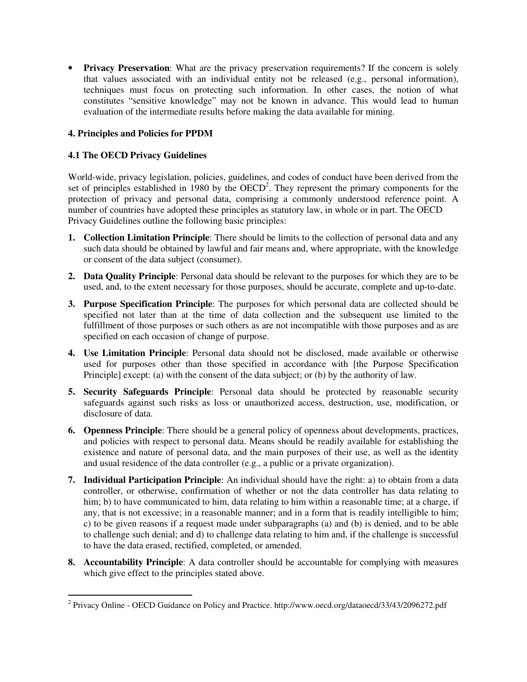• **Privacy Preservation**: What are the privacy preservation requirements? If the concern is solely that values associated with an individual entity not be released (e.g., personal information), techniques must focus on protecting such information. In other cases, the notion of what constitutes "sensitive knowledge" may not be known in advance. This would lead to human evaluation of the intermediate results before making the data available for mining.

# **4. Principles and Policies for PPDM**

# **4.1 The OECD Privacy Guidelines**

World-wide, privacy legislation, policies, guidelines, and codes of conduct have been derived from the set of principles established in 1980 by the  $OECD<sup>2</sup>$ . They represent the primary components for the protection of privacy and personal data, comprising a commonly understood reference point. A number of countries have adopted these principles as statutory law, in whole or in part. The OECD Privacy Guidelines outline the following basic principles:

- **1. Collection Limitation Principle**: There should be limits to the collection of personal data and any such data should be obtained by lawful and fair means and, where appropriate, with the knowledge or consent of the data subject (consumer).
- **2. Data Quality Principle**: Personal data should be relevant to the purposes for which they are to be used, and, to the extent necessary for those purposes, should be accurate, complete and up-to-date.
- **3. Purpose Specification Principle**: The purposes for which personal data are collected should be specified not later than at the time of data collection and the subsequent use limited to the fulfillment of those purposes or such others as are not incompatible with those purposes and as are specified on each occasion of change of purpose.
- **4. Use Limitation Principle**: Personal data should not be disclosed, made available or otherwise used for purposes other than those specified in accordance with [the Purpose Specification Principle] except: (a) with the consent of the data subject; or (b) by the authority of law.
- **5. Security Safeguards Principle**: Personal data should be protected by reasonable security safeguards against such risks as loss or unauthorized access, destruction, use, modification, or disclosure of data.
- **6. Openness Principle**: There should be a general policy of openness about developments, practices, and policies with respect to personal data. Means should be readily available for establishing the existence and nature of personal data, and the main purposes of their use, as well as the identity and usual residence of the data controller (e.g., a public or a private organization).
- **7. Individual Participation Principle**: An individual should have the right: a) to obtain from a data controller, or otherwise, confirmation of whether or not the data controller has data relating to him; b) to have communicated to him, data relating to him within a reasonable time; at a charge, if any, that is not excessive; in a reasonable manner; and in a form that is readily intelligible to him; c) to be given reasons if a request made under subparagraphs (a) and (b) is denied, and to be able to challenge such denial; and d) to challenge data relating to him and, if the challenge is successful to have the data erased, rectified, completed, or amended.
- **8. Accountability Principle**: A data controller should be accountable for complying with measures which give effect to the principles stated above.

<sup>&</sup>lt;sup>2</sup> Privacy Online - OECD Guidance on Policy and Practice. http://www.oecd.org/dataoecd/33/43/2096272.pdf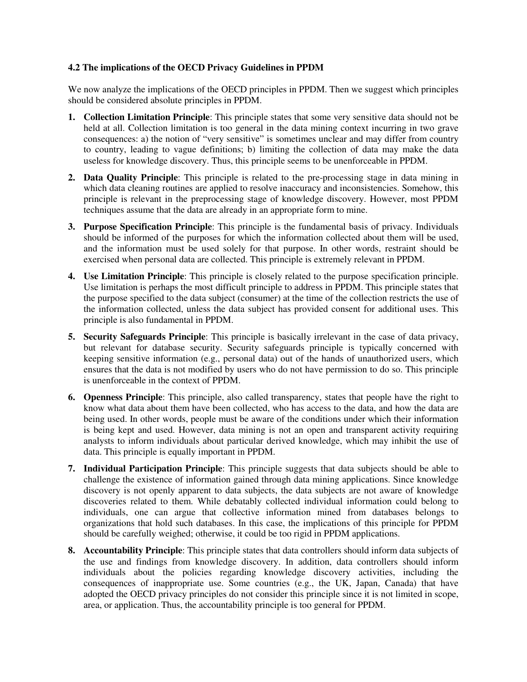### **4.2 The implications of the OECD Privacy Guidelines in PPDM**

We now analyze the implications of the OECD principles in PPDM. Then we suggest which principles should be considered absolute principles in PPDM.

- **1. Collection Limitation Principle**: This principle states that some very sensitive data should not be held at all. Collection limitation is too general in the data mining context incurring in two grave consequences: a) the notion of "very sensitive" is sometimes unclear and may differ from country to country, leading to vague definitions; b) limiting the collection of data may make the data useless for knowledge discovery. Thus, this principle seems to be unenforceable in PPDM.
- **2. Data Quality Principle**: This principle is related to the pre-processing stage in data mining in which data cleaning routines are applied to resolve inaccuracy and inconsistencies. Somehow, this principle is relevant in the preprocessing stage of knowledge discovery. However, most PPDM techniques assume that the data are already in an appropriate form to mine.
- **3. Purpose Specification Principle**: This principle is the fundamental basis of privacy. Individuals should be informed of the purposes for which the information collected about them will be used, and the information must be used solely for that purpose. In other words, restraint should be exercised when personal data are collected. This principle is extremely relevant in PPDM.
- **4. Use Limitation Principle**: This principle is closely related to the purpose specification principle. Use limitation is perhaps the most difficult principle to address in PPDM. This principle states that the purpose specified to the data subject (consumer) at the time of the collection restricts the use of the information collected, unless the data subject has provided consent for additional uses. This principle is also fundamental in PPDM.
- **5. Security Safeguards Principle**: This principle is basically irrelevant in the case of data privacy, but relevant for database security. Security safeguards principle is typically concerned with keeping sensitive information (e.g., personal data) out of the hands of unauthorized users, which ensures that the data is not modified by users who do not have permission to do so. This principle is unenforceable in the context of PPDM.
- **6. Openness Principle**: This principle, also called transparency, states that people have the right to know what data about them have been collected, who has access to the data, and how the data are being used. In other words, people must be aware of the conditions under which their information is being kept and used. However, data mining is not an open and transparent activity requiring analysts to inform individuals about particular derived knowledge, which may inhibit the use of data. This principle is equally important in PPDM.
- **7. Individual Participation Principle**: This principle suggests that data subjects should be able to challenge the existence of information gained through data mining applications. Since knowledge discovery is not openly apparent to data subjects, the data subjects are not aware of knowledge discoveries related to them. While debatably collected individual information could belong to individuals, one can argue that collective information mined from databases belongs to organizations that hold such databases. In this case, the implications of this principle for PPDM should be carefully weighed; otherwise, it could be too rigid in PPDM applications.
- **8. Accountability Principle**: This principle states that data controllers should inform data subjects of the use and findings from knowledge discovery. In addition, data controllers should inform individuals about the policies regarding knowledge discovery activities, including the consequences of inappropriate use. Some countries (e.g., the UK, Japan, Canada) that have adopted the OECD privacy principles do not consider this principle since it is not limited in scope, area, or application. Thus, the accountability principle is too general for PPDM.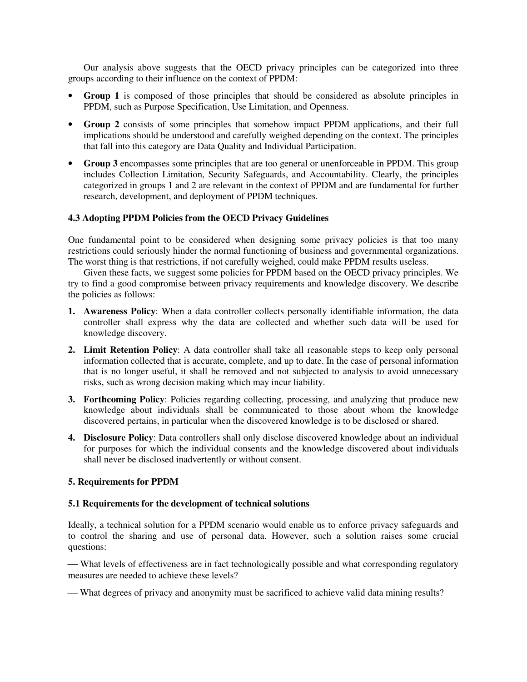Our analysis above suggests that the OECD privacy principles can be categorized into three groups according to their influence on the context of PPDM:

- **Group 1** is composed of those principles that should be considered as absolute principles in PPDM, such as Purpose Specification, Use Limitation, and Openness.
- **Group 2** consists of some principles that somehow impact PPDM applications, and their full implications should be understood and carefully weighed depending on the context. The principles that fall into this category are Data Quality and Individual Participation.
- **Group 3** encompasses some principles that are too general or unenforceable in PPDM. This group includes Collection Limitation, Security Safeguards, and Accountability. Clearly, the principles categorized in groups 1 and 2 are relevant in the context of PPDM and are fundamental for further research, development, and deployment of PPDM techniques.

#### **4.3 Adopting PPDM Policies from the OECD Privacy Guidelines**

One fundamental point to be considered when designing some privacy policies is that too many restrictions could seriously hinder the normal functioning of business and governmental organizations. The worst thing is that restrictions, if not carefully weighed, could make PPDM results useless.

Given these facts, we suggest some policies for PPDM based on the OECD privacy principles. We try to find a good compromise between privacy requirements and knowledge discovery. We describe the policies as follows:

- **1. Awareness Policy**: When a data controller collects personally identifiable information, the data controller shall express why the data are collected and whether such data will be used for knowledge discovery.
- **2. Limit Retention Policy**: A data controller shall take all reasonable steps to keep only personal information collected that is accurate, complete, and up to date. In the case of personal information that is no longer useful, it shall be removed and not subjected to analysis to avoid unnecessary risks, such as wrong decision making which may incur liability.
- **3. Forthcoming Policy**: Policies regarding collecting, processing, and analyzing that produce new knowledge about individuals shall be communicated to those about whom the knowledge discovered pertains, in particular when the discovered knowledge is to be disclosed or shared.
- **4. Disclosure Policy**: Data controllers shall only disclose discovered knowledge about an individual for purposes for which the individual consents and the knowledge discovered about individuals shall never be disclosed inadvertently or without consent.

#### **5. Requirements for PPDM**

#### **5.1 Requirements for the development of technical solutions**

Ideally, a technical solution for a PPDM scenario would enable us to enforce privacy safeguards and to control the sharing and use of personal data. However, such a solution raises some crucial questions:

 What levels of effectiveness are in fact technologically possible and what corresponding regulatory measures are needed to achieve these levels?

What degrees of privacy and anonymity must be sacrificed to achieve valid data mining results?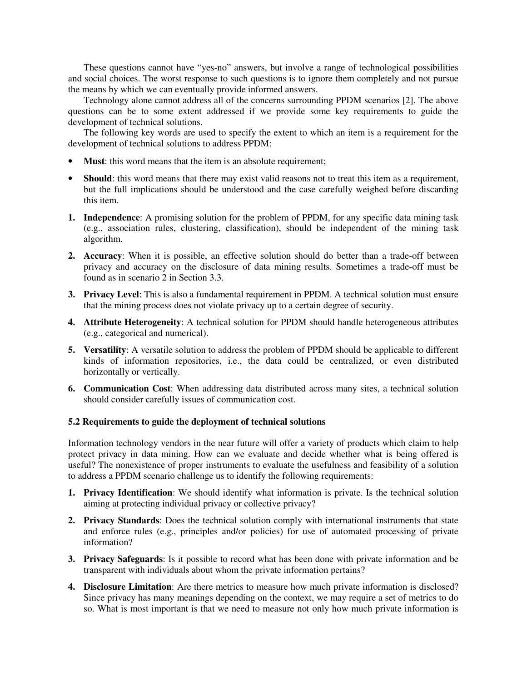These questions cannot have "yes-no" answers, but involve a range of technological possibilities and social choices. The worst response to such questions is to ignore them completely and not pursue the means by which we can eventually provide informed answers.

Technology alone cannot address all of the concerns surrounding PPDM scenarios [2]. The above questions can be to some extent addressed if we provide some key requirements to guide the development of technical solutions.

The following key words are used to specify the extent to which an item is a requirement for the development of technical solutions to address PPDM:

- **Must:** this word means that the item is an absolute requirement;
- **Should**: this word means that there may exist valid reasons not to treat this item as a requirement, but the full implications should be understood and the case carefully weighed before discarding this item.
- **1. Independence**: A promising solution for the problem of PPDM, for any specific data mining task (e.g., association rules, clustering, classification), should be independent of the mining task algorithm.
- **2. Accuracy**: When it is possible, an effective solution should do better than a trade-off between privacy and accuracy on the disclosure of data mining results. Sometimes a trade-off must be found as in scenario 2 in Section 3.3.
- **3. Privacy Level**: This is also a fundamental requirement in PPDM. A technical solution must ensure that the mining process does not violate privacy up to a certain degree of security.
- **4. Attribute Heterogeneity**: A technical solution for PPDM should handle heterogeneous attributes (e.g., categorical and numerical).
- **5. Versatility**: A versatile solution to address the problem of PPDM should be applicable to different kinds of information repositories, i.e., the data could be centralized, or even distributed horizontally or vertically.
- **6. Communication Cost**: When addressing data distributed across many sites, a technical solution should consider carefully issues of communication cost.

#### **5.2 Requirements to guide the deployment of technical solutions**

Information technology vendors in the near future will offer a variety of products which claim to help protect privacy in data mining. How can we evaluate and decide whether what is being offered is useful? The nonexistence of proper instruments to evaluate the usefulness and feasibility of a solution to address a PPDM scenario challenge us to identify the following requirements:

- **1. Privacy Identification**: We should identify what information is private. Is the technical solution aiming at protecting individual privacy or collective privacy?
- **2. Privacy Standards**: Does the technical solution comply with international instruments that state and enforce rules (e.g., principles and/or policies) for use of automated processing of private information?
- **3. Privacy Safeguards**: Is it possible to record what has been done with private information and be transparent with individuals about whom the private information pertains?
- **4. Disclosure Limitation**: Are there metrics to measure how much private information is disclosed? Since privacy has many meanings depending on the context, we may require a set of metrics to do so. What is most important is that we need to measure not only how much private information is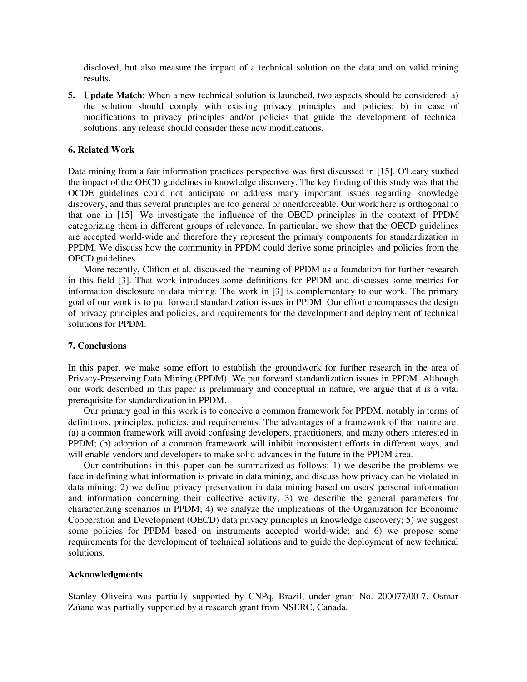disclosed, but also measure the impact of a technical solution on the data and on valid mining results.

**5. Update Match**: When a new technical solution is launched, two aspects should be considered: a) the solution should comply with existing privacy principles and policies; b) in case of modifications to privacy principles and/or policies that guide the development of technical solutions, any release should consider these new modifications.

#### **6. Related Work**

Data mining from a fair information practices perspective was first discussed in [15]. O'Leary studied the impact of the OECD guidelines in knowledge discovery. The key finding of this study was that the OCDE guidelines could not anticipate or address many important issues regarding knowledge discovery, and thus several principles are too general or unenforceable. Our work here is orthogonal to that one in [15]. We investigate the influence of the OECD principles in the context of PPDM categorizing them in different groups of relevance. In particular, we show that the OECD guidelines are accepted world-wide and therefore they represent the primary components for standardization in PPDM. We discuss how the community in PPDM could derive some principles and policies from the OECD guidelines.

More recently, Clifton et al. discussed the meaning of PPDM as a foundation for further research in this field [3]. That work introduces some definitions for PPDM and discusses some metrics for information disclosure in data mining. The work in [3] is complementary to our work. The primary goal of our work is to put forward standardization issues in PPDM. Our effort encompasses the design of privacy principles and policies, and requirements for the development and deployment of technical solutions for PPDM.

#### **7. Conclusions**

In this paper, we make some effort to establish the groundwork for further research in the area of Privacy-Preserving Data Mining (PPDM). We put forward standardization issues in PPDM. Although our work described in this paper is preliminary and conceptual in nature, we argue that it is a vital prerequisite for standardization in PPDM.

Our primary goal in this work is to conceive a common framework for PPDM, notably in terms of definitions, principles, policies, and requirements. The advantages of a framework of that nature are: (a) a common framework will avoid confusing developers, practitioners, and many others interested in PPDM; (b) adoption of a common framework will inhibit inconsistent efforts in different ways, and will enable vendors and developers to make solid advances in the future in the PPDM area.

Our contributions in this paper can be summarized as follows: 1) we describe the problems we face in defining what information is private in data mining, and discuss how privacy can be violated in data mining; 2) we define privacy preservation in data mining based on users' personal information and information concerning their collective activity; 3) we describe the general parameters for characterizing scenarios in PPDM; 4) we analyze the implications of the Organization for Economic Cooperation and Development (OECD) data privacy principles in knowledge discovery; 5) we suggest some policies for PPDM based on instruments accepted world-wide; and 6) we propose some requirements for the development of technical solutions and to guide the deployment of new technical solutions.

#### **Acknowledgments**

Stanley Oliveira was partially supported by CNPq, Brazil, under grant No. 200077/00-7. Osmar Zaïane was partially supported by a research grant from NSERC, Canada.